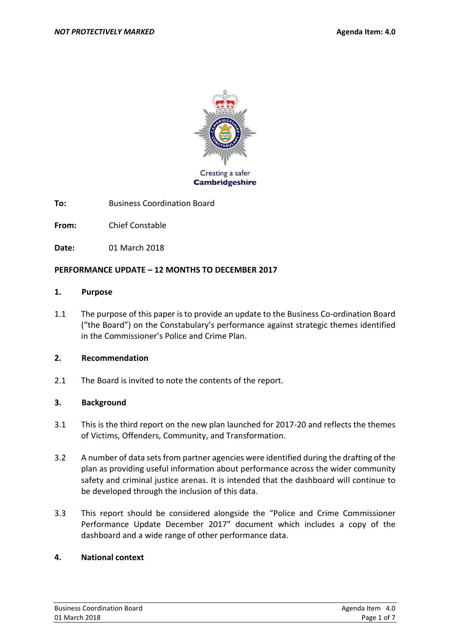

**To:** Business Coordination Board

**From:** Chief Constable

**Date:** 01 March 2018

### **PERFORMANCE UPDATE – 12 MONTHS TO DECEMBER 2017**

#### **1. Purpose**

1.1 The purpose of this paper is to provide an update to the Business Co-ordination Board ("the Board") on the Constabulary's performance against strategic themes identified in the Commissioner's Police and Crime Plan.

#### **2. Recommendation**

2.1 The Board is invited to note the contents of the report.

### **3. Background**

- 3.1 This is the third report on the new plan launched for 2017-20 and reflects the themes of Victims, Offenders, Community, and Transformation.
- 3.2 A number of data sets from partner agencies were identified during the drafting of the plan as providing useful information about performance across the wider community safety and criminal justice arenas. It is intended that the dashboard will continue to be developed through the inclusion of this data.
- 3.3 This report should be considered alongside the "Police and Crime Commissioner Performance Update December 2017" document which includes a copy of the dashboard and a wide range of other performance data.

#### **4. National context**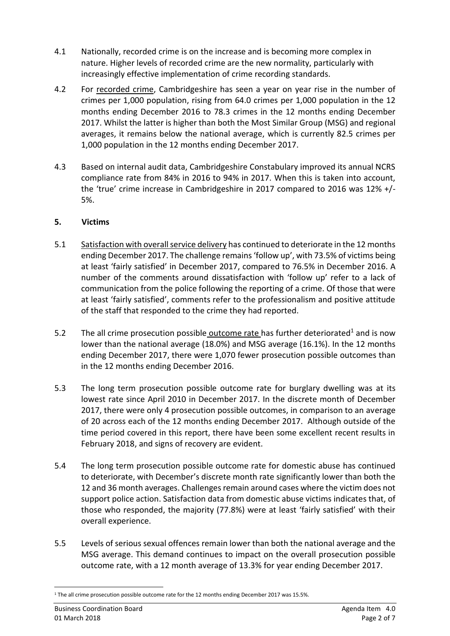- 4.1 Nationally, recorded crime is on the increase and is becoming more complex in nature. Higher levels of recorded crime are the new normality, particularly with increasingly effective implementation of crime recording standards.
- 4.2 For recorded crime, Cambridgeshire has seen a year on year rise in the number of crimes per 1,000 population, rising from 64.0 crimes per 1,000 population in the 12 months ending December 2016 to 78.3 crimes in the 12 months ending December 2017. Whilst the latter is higher than both the Most Similar Group (MSG) and regional averages, it remains below the national average, which is currently 82.5 crimes per 1,000 population in the 12 months ending December 2017.
- 4.3 Based on internal audit data, Cambridgeshire Constabulary improved its annual NCRS compliance rate from 84% in 2016 to 94% in 2017. When this is taken into account, the 'true' crime increase in Cambridgeshire in 2017 compared to 2016 was 12% +/- 5%.

## **5. Victims**

- 5.1 Satisfaction with overall service delivery has continued to deteriorate in the 12 months ending December 2017. The challenge remains'follow up', with 73.5% of victims being at least 'fairly satisfied' in December 2017, compared to 76.5% in December 2016. A number of the comments around dissatisfaction with 'follow up' refer to a lack of communication from the police following the reporting of a crime. Of those that were at least 'fairly satisfied', comments refer to the professionalism and positive attitude of the staff that responded to the crime they had reported.
- 5.2 The all crime prosecution possible outcome rate has further deteriorated<sup>1</sup> and is now lower than the national average (18.0%) and MSG average (16.1%). In the 12 months ending December 2017, there were 1,070 fewer prosecution possible outcomes than in the 12 months ending December 2016.
- 5.3 The long term prosecution possible outcome rate for burglary dwelling was at its lowest rate since April 2010 in December 2017. In the discrete month of December 2017, there were only 4 prosecution possible outcomes, in comparison to an average of 20 across each of the 12 months ending December 2017. Although outside of the time period covered in this report, there have been some excellent recent results in February 2018, and signs of recovery are evident.
- 5.4 The long term prosecution possible outcome rate for domestic abuse has continued to deteriorate, with December's discrete month rate significantly lower than both the 12 and 36 month averages. Challenges remain around cases where the victim does not support police action. Satisfaction data from domestic abuse victims indicates that, of those who responded, the majority (77.8%) were at least 'fairly satisfied' with their overall experience.
- 5.5 Levels of serious sexual offences remain lower than both the national average and the MSG average. This demand continues to impact on the overall prosecution possible outcome rate, with a 12 month average of 13.3% for year ending December 2017.

**.** 

<sup>1</sup> The all crime prosecution possible outcome rate for the 12 months ending December 2017 was 15.5%.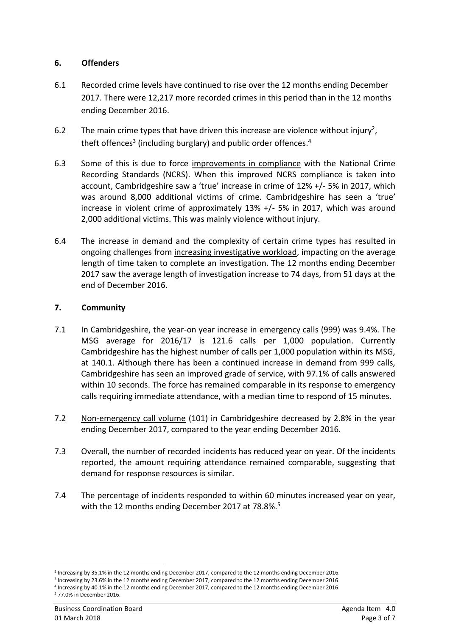### **6. Offenders**

- 6.1 Recorded crime levels have continued to rise over the 12 months ending December 2017. There were 12,217 more recorded crimes in this period than in the 12 months ending December 2016.
- 6.2 The main crime types that have driven this increase are violence without injury<sup>2</sup>, theft offences<sup>3</sup> (including burglary) and public order offences.<sup>4</sup>
- 6.3 Some of this is due to force improvements in compliance with the National Crime Recording Standards (NCRS). When this improved NCRS compliance is taken into account, Cambridgeshire saw a 'true' increase in crime of 12% +/- 5% in 2017, which was around 8,000 additional victims of crime. Cambridgeshire has seen a 'true' increase in violent crime of approximately 13% +/- 5% in 2017, which was around 2,000 additional victims. This was mainly violence without injury.
- 6.4 The increase in demand and the complexity of certain crime types has resulted in ongoing challenges from increasing investigative workload, impacting on the average length of time taken to complete an investigation. The 12 months ending December 2017 saw the average length of investigation increase to 74 days, from 51 days at the end of December 2016.

## **7. Community**

- 7.1 In Cambridgeshire, the year-on year increase in emergency calls (999) was 9.4%. The MSG average for 2016/17 is 121.6 calls per 1,000 population. Currently Cambridgeshire has the highest number of calls per 1,000 population within its MSG, at 140.1. Although there has been a continued increase in demand from 999 calls, Cambridgeshire has seen an improved grade of service, with 97.1% of calls answered within 10 seconds. The force has remained comparable in its response to emergency calls requiring immediate attendance, with a median time to respond of 15 minutes.
- 7.2 Non-emergency call volume (101) in Cambridgeshire decreased by 2.8% in the year ending December 2017, compared to the year ending December 2016.
- 7.3 Overall, the number of recorded incidents has reduced year on year. Of the incidents reported, the amount requiring attendance remained comparable, suggesting that demand for response resources is similar.
- 7.4 The percentage of incidents responded to within 60 minutes increased year on year, with the 12 months ending December 2017 at 78.8%.<sup>5</sup>

**.** 

<sup>2</sup> Increasing by 35.1% in the 12 months ending December 2017, compared to the 12 months ending December 2016.

<sup>3</sup> Increasing by 23.6% in the 12 months ending December 2017, compared to the 12 months ending December 2016.

<sup>4</sup> Increasing by 40.1% in the 12 months ending December 2017, compared to the 12 months ending December 2016. <sup>5</sup> 77.0% in December 2016.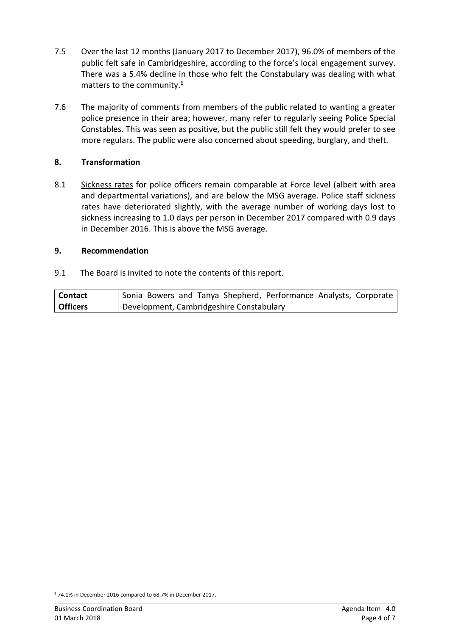- 7.5 Over the last 12 months (January 2017 to December 2017), 96.0% of members of the public felt safe in Cambridgeshire, according to the force's local engagement survey. There was a 5.4% decline in those who felt the Constabulary was dealing with what matters to the community. 6
- 7.6 The majority of comments from members of the public related to wanting a greater police presence in their area; however, many refer to regularly seeing Police Special Constables. This was seen as positive, but the public still felt they would prefer to see more regulars. The public were also concerned about speeding, burglary, and theft.

### **8. Transformation**

8.1 Sickness rates for police officers remain comparable at Force level (albeit with area and departmental variations), and are below the MSG average. Police staff sickness rates have deteriorated slightly, with the average number of working days lost to sickness increasing to 1.0 days per person in December 2017 compared with 0.9 days in December 2016. This is above the MSG average.

### **9. Recommendation**

9.1 The Board is invited to note the contents of this report.

| Contact         | Sonia Bowers and Tanya Shepherd, Performance Analysts, Corporate |
|-----------------|------------------------------------------------------------------|
| <b>Officers</b> | Development, Cambridgeshire Constabulary                         |

**<sup>.</sup>** <sup>6</sup> 74.1% in December 2016 compared to 68.7% in December 2017.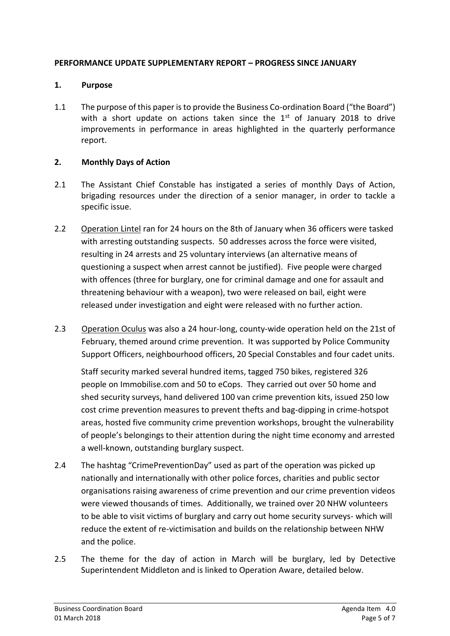### **PERFORMANCE UPDATE SUPPLEMENTARY REPORT – PROGRESS SINCE JANUARY**

### **1. Purpose**

1.1 The purpose of this paper is to provide the Business Co-ordination Board ("the Board") with a short update on actions taken since the  $1<sup>st</sup>$  of January 2018 to drive improvements in performance in areas highlighted in the quarterly performance report.

## **2. Monthly Days of Action**

- 2.1 The Assistant Chief Constable has instigated a series of monthly Days of Action, brigading resources under the direction of a senior manager, in order to tackle a specific issue.
- 2.2 Operation Lintel ran for 24 hours on the 8th of January when 36 officers were tasked with arresting outstanding suspects. 50 addresses across the force were visited, resulting in 24 arrests and 25 voluntary interviews (an alternative means of questioning a suspect when arrest cannot be justified). Five people were charged with offences (three for burglary, one for criminal damage and one for assault and threatening behaviour with a weapon), two were released on bail, eight were released under investigation and eight were released with no further action.
- 2.3 Operation Oculus was also a 24 hour-long, county-wide operation held on the 21st of February, themed around crime prevention. It was supported by Police Community Support Officers, neighbourhood officers, 20 Special Constables and four cadet units.

Staff security marked several hundred items, tagged 750 bikes, registered 326 people on Immobilise.com and 50 to eCops. They carried out over 50 home and shed security surveys, hand delivered 100 van crime prevention kits, issued 250 low cost crime prevention measures to prevent thefts and bag-dipping in crime-hotspot areas, hosted five community crime prevention workshops, brought the vulnerability of people's belongings to their attention during the night time economy and arrested a well-known, outstanding burglary suspect.

- 2.4 The hashtag "CrimePreventionDay" used as part of the operation was picked up nationally and internationally with other police forces, charities and public sector organisations raising awareness of crime prevention and our crime prevention videos were viewed thousands of times. Additionally, we trained over 20 NHW volunteers to be able to visit victims of burglary and carry out home security surveys- which will reduce the extent of re-victimisation and builds on the relationship between NHW and the police.
- 2.5 The theme for the day of action in March will be burglary, led by Detective Superintendent Middleton and is linked to Operation Aware, detailed below.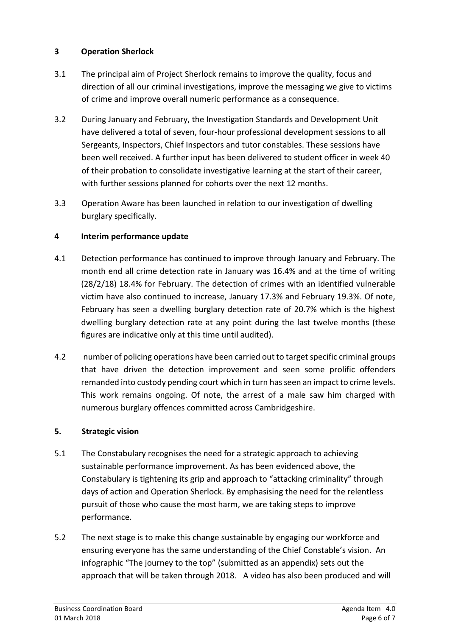## **3 Operation Sherlock**

- 3.1 The principal aim of Project Sherlock remains to improve the quality, focus and direction of all our criminal investigations, improve the messaging we give to victims of crime and improve overall numeric performance as a consequence.
- 3.2 During January and February, the Investigation Standards and Development Unit have delivered a total of seven, four-hour professional development sessions to all Sergeants, Inspectors, Chief Inspectors and tutor constables. These sessions have been well received. A further input has been delivered to student officer in week 40 of their probation to consolidate investigative learning at the start of their career, with further sessions planned for cohorts over the next 12 months.
- 3.3 Operation Aware has been launched in relation to our investigation of dwelling burglary specifically.

# **4 Interim performance update**

- 4.1 Detection performance has continued to improve through January and February. The month end all crime detection rate in January was 16.4% and at the time of writing (28/2/18) 18.4% for February. The detection of crimes with an identified vulnerable victim have also continued to increase, January 17.3% and February 19.3%. Of note, February has seen a dwelling burglary detection rate of 20.7% which is the highest dwelling burglary detection rate at any point during the last twelve months (these figures are indicative only at this time until audited).
- 4.2 number of policing operations have been carried out to target specific criminal groups that have driven the detection improvement and seen some prolific offenders remanded into custody pending court which in turn has seen an impact to crime levels. This work remains ongoing. Of note, the arrest of a male saw him charged with numerous burglary offences committed across Cambridgeshire.

## **5. Strategic vision**

- 5.1 The Constabulary recognises the need for a strategic approach to achieving sustainable performance improvement. As has been evidenced above, the Constabulary is tightening its grip and approach to "attacking criminality" through days of action and Operation Sherlock. By emphasising the need for the relentless pursuit of those who cause the most harm, we are taking steps to improve performance.
- 5.2 The next stage is to make this change sustainable by engaging our workforce and ensuring everyone has the same understanding of the Chief Constable's vision. An infographic "The journey to the top" (submitted as an appendix) sets out the approach that will be taken through 2018. A video has also been produced and will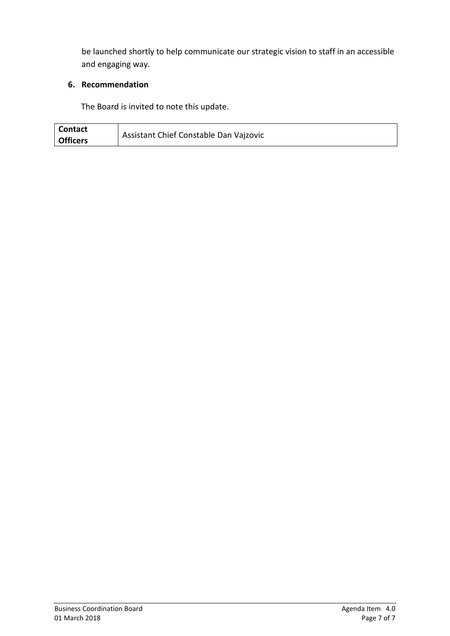be launched shortly to help communicate our strategic vision to staff in an accessible and engaging way.

# **6. Recommendation**

The Board is invited to note this update.

| <b>Contact</b>  | Assistant Chief Constable Dan Vajzovic |
|-----------------|----------------------------------------|
| <b>Officers</b> |                                        |